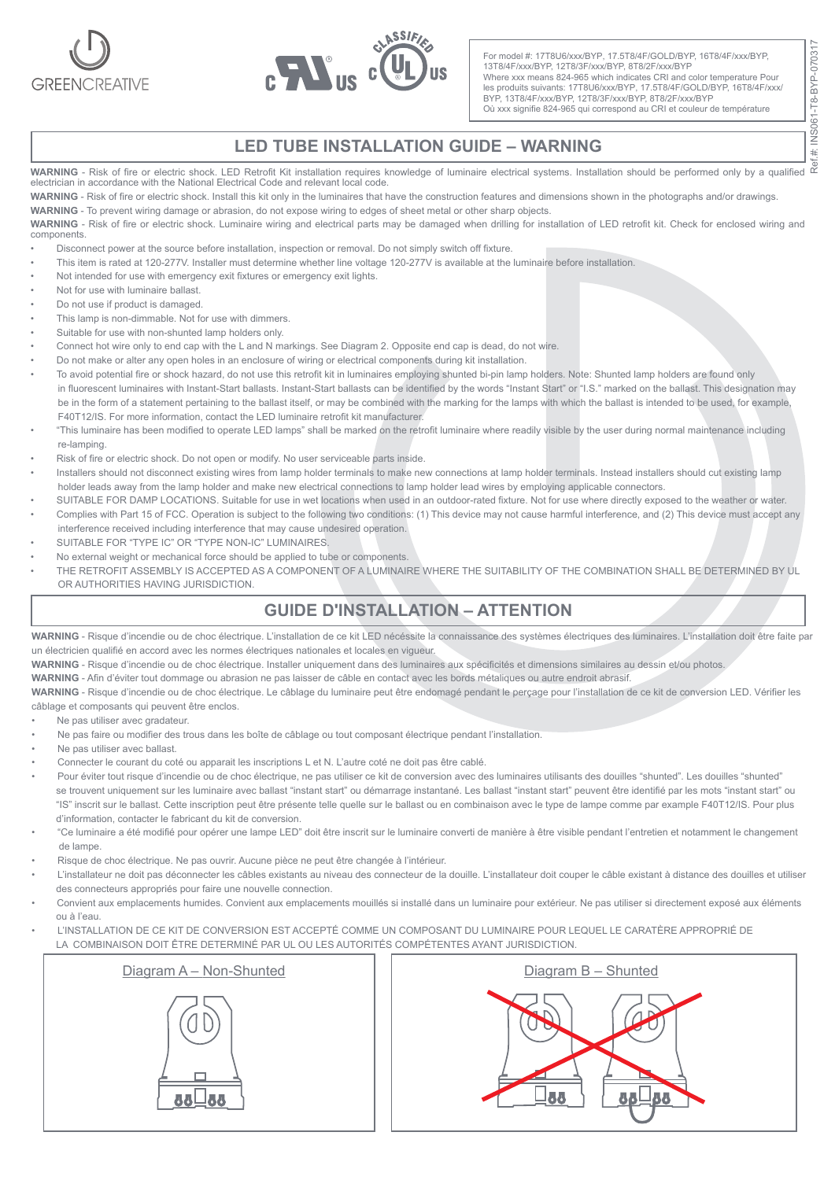



For model #: 17T8U6/xxx/BYP, 17.5T8/4F/GOLD/BYP, 16T8/4F/xxx/BYP, 13T8/4F/xxx/BYP, 12T8/3F/xxx/BYP, 8T8/2F/xxx/BYP Where xxx means 824-965 which indicates CRI and color temperature Pour les produits suivants: 17T8U6/xxx/BYP, 17.5T8/4F/GOLD/BYP, 16T8/4F/xxx/ BYP, 13T8/4F/xxx/BYP, 12T8/3F/xxx/BYP, 8T8/2F/xxx/BYP Où xxx signifie 824-965 qui correspond au CRI et couleur de température

## **LED TUBE INSTALLATION GUIDE – WARNING**

**WARNING** - Risk of fire or electric shock. LED Retrofit Kit installation requires knowledge of luminaire electrical systems. Installation should be performed only by a qualified<br>electrician in accordance with the National

**WARNING** - Risk of fire or electric shock. Install this kit only in the luminaires that have the construction features and dimensions shown in the photographs and/or drawings.

**WARNING** - To prevent wiring damage or abrasion, do not expose wiring to edges of sheet metal or other sharp objects.

**WARNING** - Risk of fire or electric shock. Luminaire wiring and electrical parts may be damaged when drilling for installation of LED retrofit kit. Check for enclosed wiring and components.

- Disconnect power at the source before installation, inspection or removal. Do not simply switch off fixture.
- This item is rated at 120-277V. Installer must determine whether line voltage 120-277V is available at the luminaire before installation.
- Not intended for use with emergency exit fixtures or emergency exit lights.
- Not for use with luminaire ballast.
- Do not use if product is damaged.
- This lamp is non-dimmable. Not for use with dimmers.
- Suitable for use with non-shunted lamp holders only.
- Connect hot wire only to end cap with the L and N markings. See Diagram 2. Opposite end cap is dead, do not wire.
- Do not make or alter any open holes in an enclosure of wiring or electrical components during kit installation.
- To avoid potential fire or shock hazard, do not use this retrofit kit in luminaires employing shunted bi-pin lamp holders. Note: Shunted lamp holders are found only in fluorescent luminaires with Instant-Start ballasts. Instant-Start ballasts can be identified by the words "Instant Start" or "I.S." marked on the ballast. This designation may be in the form of a statement pertaining to the ballast itself, or may be combined with the marking for the lamps with which the ballast is intended to be used, for example, F40T12/IS. For more information, contact the LED luminaire retrofit kit manufacturer.
- "This luminaire has been modified to operate LED lamps" shall be marked on the retrofit luminaire where readily visible by the user during normal maintenance including re-lamping.
- Risk of fire or electric shock. Do not open or modify. No user serviceable parts inside.
- Installers should not disconnect existing wires from lamp holder terminals to make new connections at lamp holder terminals. Instead installers should cut existing lamp holder leads away from the lamp holder and make new electrical connections to lamp holder lead wires by employing applicable connectors.
- SUITABLE FOR DAMP LOCATIONS. Suitable for use in wet locations when used in an outdoor-rated fixture. Not for use where directly exposed to the weather or water.
- Complies with Part 15 of FCC. Operation is subject to the following two conditions: (1) This device may not cause harmful interference, and (2) This device must accept any interference received including interference that may cause undesired operation.
- SUITABLE FOR "TYPE IC" OR "TYPE NON-IC" LUMINAIRES
- No external weight or mechanical force should be applied to tube or components.
- THE RETROFIT ASSEMBLY IS ACCEPTED AS A COMPONENT OF A LUMINAIRE WHERE THE SUITABILITY OF THE COMBINATION SHALL BE DETERMINED BY UL OR AUTHORITIES HAVING JURISDICTION.

## **GUIDE D'INSTALLATION – ATTENTION**

**WARNING** - Risque d'incendie ou de choc électrique. L'installation de ce kit LED nécéssite la connaissance des systèmes électriques des luminaires. L'installation doit être faite par un électricien qualifié en accord avec les normes électriques nationales et locales en vigueur.

**WARNING** - Risque d'incendie ou de choc électrique. Installer uniquement dans des luminaires aux spécificités et dimensions similaires au dessin et/ou photos.

**WARNING** - Afin d'éviter tout dommage ou abrasion ne pas laisser de câble en contact avec les bords métaliques ou autre endroit abrasif.

**WARNING** - Risque d'incendie ou de choc électrique. Le câblage du luminaire peut être endomagé pendant le perçage pour l'installation de ce kit de conversion LED. Vérifier les câblage et composants qui peuvent être enclos.

- Ne pas utiliser avec gradateur.
- Ne pas faire ou modifier des trous dans les boîte de câblage ou tout composant électrique pendant l'installation.
- Ne pas utiliser avec ballast.
- Connecter le courant du coté ou apparait les inscriptions L et N. L'autre coté ne doit pas être cablé.
- Pour éviter tout risque d'incendie ou de choc électrique, ne pas utiliser ce kit de conversion avec des luminaires utilisants des douilles "shunted". Les douilles "shunted" se trouvent uniquement sur les luminaire avec ballast "instant start" ou démarrage instantané. Les ballast "instant start" peuvent être identifié par les mots "instant start" ou "IS" inscrit sur le ballast. Cette inscription peut être présente telle quelle sur le ballast ou en combinaison avec le type de lampe comme par example F40T12/IS. Pour plus d'information, contacter le fabricant du kit de conversion.
- "Ce luminaire a été modifié pour opérer une lampe LED" doit être inscrit sur le luminaire converti de manière à être visible pendant l'entretien et notamment le changement de lampe.
- Risque de choc électrique. Ne pas ouvrir. Aucune pièce ne peut être changée à l'intérieur.
- L'installateur ne doit pas déconnecter les câbles existants au niveau des connecteur de la douille. L'installateur doit couper le câble existant à distance des douilles et utiliser des connecteurs appropriés pour faire une nouvelle connection.
- Convient aux emplacements humides. Convient aux emplacements mouillés si installé dans un luminaire pour extérieur. Ne pas utiliser si directement exposé aux éléments ou à l'eau.
- L'INSTALLATION DE CE KIT DE CONVERSION EST ACCEPTÉ COMME UN COMPOSANT DU LUMINAIRE POUR LEQUEL LE CARATÈRE APPROPRIÉ DE LA COMBINAISON DOIT ÊTRE DETERMINÉ PAR UL OU LES AUTORITÉS COMPÉTENTES AYANT JURISDICTION.